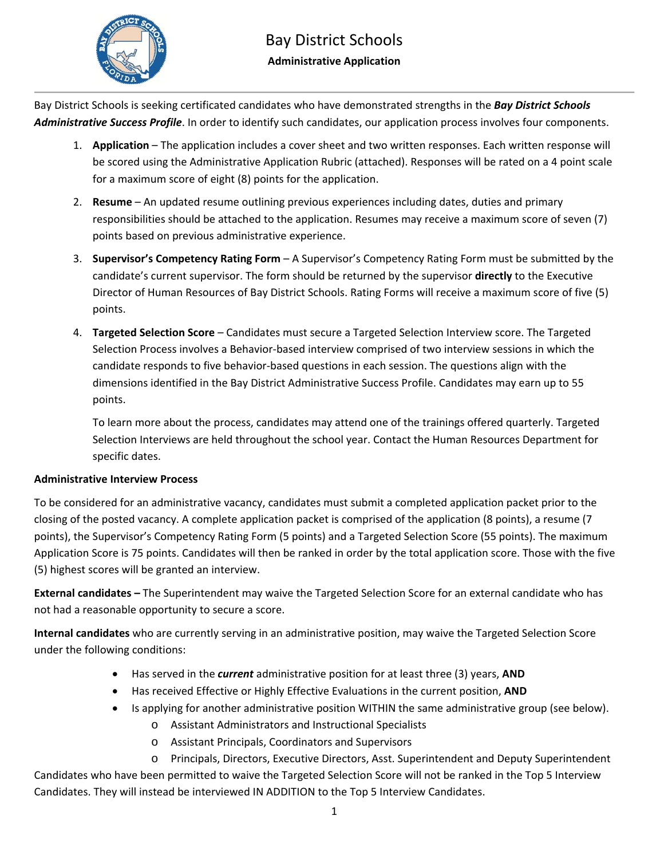

## Bay District Schools **Administrative Application**

Bay District Schools is seeking certificated candidates who have demonstrated strengths in the *Bay District Schools Administrative Success Profile*. In order to identify such candidates, our application process involves four components.

- 1. **Application** The application includes a cover sheet and two written responses. Each written response will be scored using the Administrative Application Rubric (attached). Responses will be rated on a 4 point scale for a maximum score of eight (8) points for the application.
- 2. **Resume**  An updated resume outlining previous experiences including dates, duties and primary responsibilities should be attached to the application. Resumes may receive a maximum score of seven (7) points based on previous administrative experience.
- 3. **Supervisor's Competency Rating Form**  A Supervisor's Competency Rating Form must be submitted by the candidate's current supervisor. The form should be returned by the supervisor **directly** to the Executive Director of Human Resources of Bay District Schools. Rating Forms will receive a maximum score of five (5) points.
- 4. **Targeted Selection Score**  Candidates must secure a Targeted Selection Interview score. The Targeted Selection Process involves a Behavior‐based interview comprised of two interview sessions in which the candidate responds to five behavior‐based questions in each session. The questions align with the dimensions identified in the Bay District Administrative Success Profile. Candidates may earn up to 55 points.

To learn more about the process, candidates may attend one of the trainings offered quarterly. Targeted Selection Interviews are held throughout the school year. Contact the Human Resources Department for specific dates.

### **Administrative Interview Process**

To be considered for an administrative vacancy, candidates must submit a completed application packet prior to the closing of the posted vacancy. A complete application packet is comprised of the application (8 points), a resume (7 points), the Supervisor's Competency Rating Form (5 points) and a Targeted Selection Score (55 points). The maximum Application Score is 75 points. Candidates will then be ranked in order by the total application score. Those with the five (5) highest scores will be granted an interview.

**External candidates –** The Superintendent may waive the Targeted Selection Score for an external candidate who has not had a reasonable opportunity to secure a score.

**Internal candidates** who are currently serving in an administrative position, may waive the Targeted Selection Score under the following conditions:

- Has served in the *current* administrative position for at least three (3) years, **AND**
- Has received Effective or Highly Effective Evaluations in the current position, **AND**
- Is applying for another administrative position WITHIN the same administrative group (see below).
	- o Assistant Administrators and Instructional Specialists
	- o Assistant Principals, Coordinators and Supervisors

o Principals, Directors, Executive Directors, Asst. Superintendent and Deputy Superintendent Candidates who have been permitted to waive the Targeted Selection Score will not be ranked in the Top 5 Interview Candidates. They will instead be interviewed IN ADDITION to the Top 5 Interview Candidates.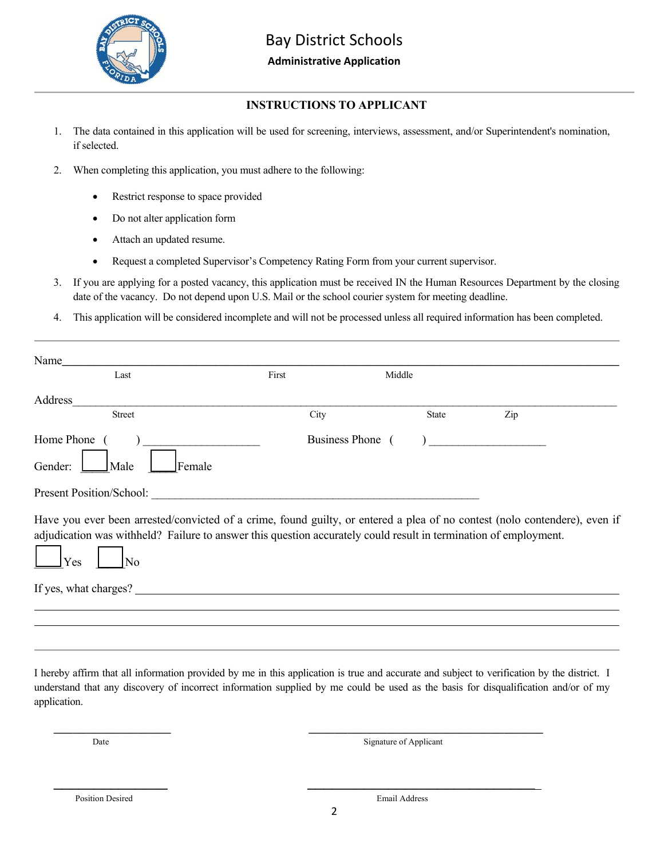

### **Administrative Application**

## **INSTRUCTIONS TO APPLICANT**

- 1. The data contained in this application will be used for screening, interviews, assessment, and/or Superintendent's nomination, if selected.
- 2. When completing this application, you must adhere to the following:
	- Restrict response to space provided
	- Do not alter application form
	- Attach an updated resume.
	- Request a completed Supervisor's Competency Rating Form from your current supervisor.
- 3. If you are applying for a posted vacancy, this application must be received IN the Human Resources Department by the closing date of the vacancy. Do not depend upon U.S. Mail or the school courier system for meeting deadline.
- 4. This application will be considered incomplete and will not be processed unless all required information has been completed.

| Name                                                                                                                                                                                                                                                        |       |                       |     |
|-------------------------------------------------------------------------------------------------------------------------------------------------------------------------------------------------------------------------------------------------------------|-------|-----------------------|-----|
| Last                                                                                                                                                                                                                                                        | First | Middle                |     |
| Address                                                                                                                                                                                                                                                     |       |                       |     |
| <b>Street</b>                                                                                                                                                                                                                                               | City  | <b>State</b>          | Zip |
| Home Phone                                                                                                                                                                                                                                                  |       | <b>Business Phone</b> |     |
| Gender:<br>Female<br>Male                                                                                                                                                                                                                                   |       |                       |     |
| <b>Present Position/School:</b>                                                                                                                                                                                                                             |       |                       |     |
| Have you ever been arrested/convicted of a crime, found guilty, or entered a plea of no contest (nolo contendere), even if<br>adjudication was withheld? Failure to answer this question accurately could result in termination of employment.<br>Yes<br>No |       |                       |     |
| If yes, what charges?                                                                                                                                                                                                                                       |       |                       |     |
|                                                                                                                                                                                                                                                             |       |                       |     |

I hereby affirm that all information provided by me in this application is true and accurate and subject to verification by the district. I understand that any discovery of incorrect information supplied by me could be used as the basis for disqualification and/or of my application.

\_\_\_\_\_\_\_\_\_\_\_\_\_\_\_\_\_\_ \_\_\_\_\_\_\_\_\_\_\_\_\_\_\_\_\_\_\_\_\_\_\_\_\_\_\_\_\_\_\_\_\_\_\_\_

 $\overline{\phantom{a}}$  , and the contract of the contract of the contract of the contract of the contract of the contract of the contract of the contract of the contract of the contract of the contract of the contract of the contrac

Date Signature of Applicant

Position Desired Email Address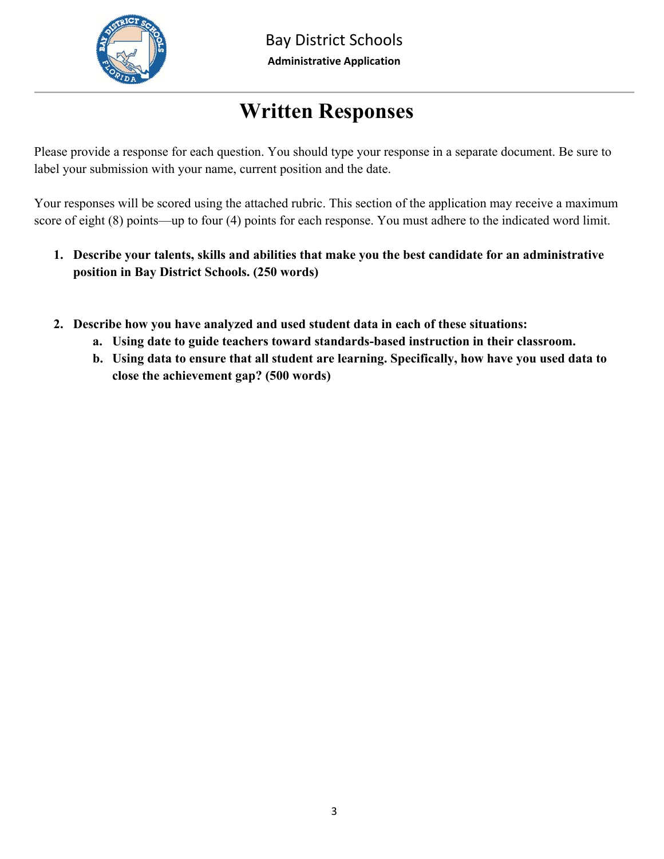

# **Written Responses**

Please provide a response for each question. You should type your response in a separate document. Be sure to label your submission with your name, current position and the date.

Your responses will be scored using the attached rubric. This section of the application may receive a maximum score of eight (8) points—up to four (4) points for each response. You must adhere to the indicated word limit.

- **1. Describe your talents, skills and abilities that make you the best candidate for an administrative position in Bay District Schools. (250 words)**
- **2. Describe how you have analyzed and used student data in each of these situations:** 
	- **a. Using date to guide teachers toward standards-based instruction in their classroom.**
	- **b. Using data to ensure that all student are learning. Specifically, how have you used data to close the achievement gap? (500 words)**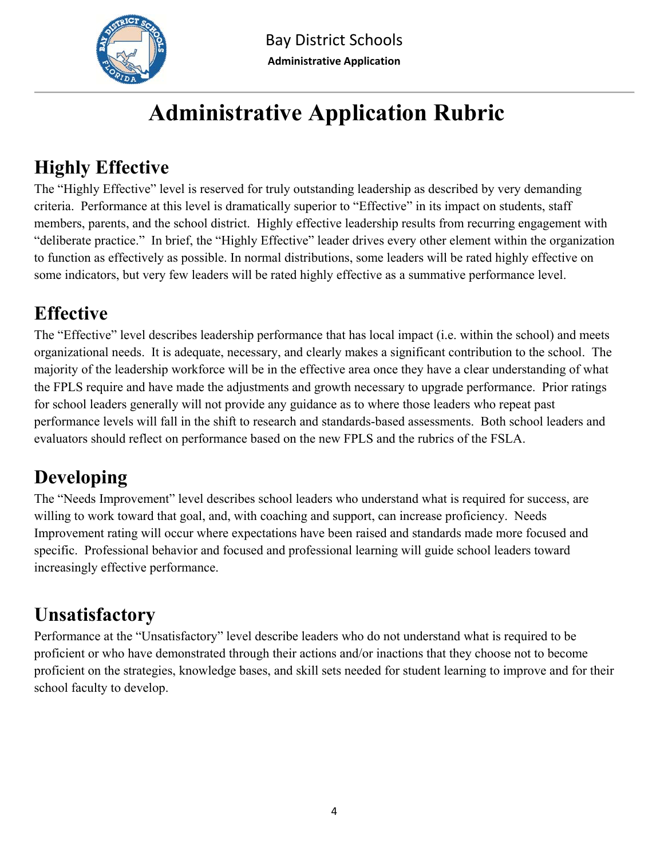

# **Administrative Application Rubric**

## **Highly Effective**

The "Highly Effective" level is reserved for truly outstanding leadership as described by very demanding criteria. Performance at this level is dramatically superior to "Effective" in its impact on students, staff members, parents, and the school district. Highly effective leadership results from recurring engagement with "deliberate practice." In brief, the "Highly Effective" leader drives every other element within the organization to function as effectively as possible. In normal distributions, some leaders will be rated highly effective on some indicators, but very few leaders will be rated highly effective as a summative performance level.

# **Effective**

The "Effective" level describes leadership performance that has local impact (i.e. within the school) and meets organizational needs. It is adequate, necessary, and clearly makes a significant contribution to the school. The majority of the leadership workforce will be in the effective area once they have a clear understanding of what the FPLS require and have made the adjustments and growth necessary to upgrade performance. Prior ratings for school leaders generally will not provide any guidance as to where those leaders who repeat past performance levels will fall in the shift to research and standards-based assessments. Both school leaders and evaluators should reflect on performance based on the new FPLS and the rubrics of the FSLA.

## **Developing**

The "Needs Improvement" level describes school leaders who understand what is required for success, are willing to work toward that goal, and, with coaching and support, can increase proficiency. Needs Improvement rating will occur where expectations have been raised and standards made more focused and specific. Professional behavior and focused and professional learning will guide school leaders toward increasingly effective performance.

## **Unsatisfactory**

Performance at the "Unsatisfactory" level describe leaders who do not understand what is required to be proficient or who have demonstrated through their actions and/or inactions that they choose not to become proficient on the strategies, knowledge bases, and skill sets needed for student learning to improve and for their school faculty to develop.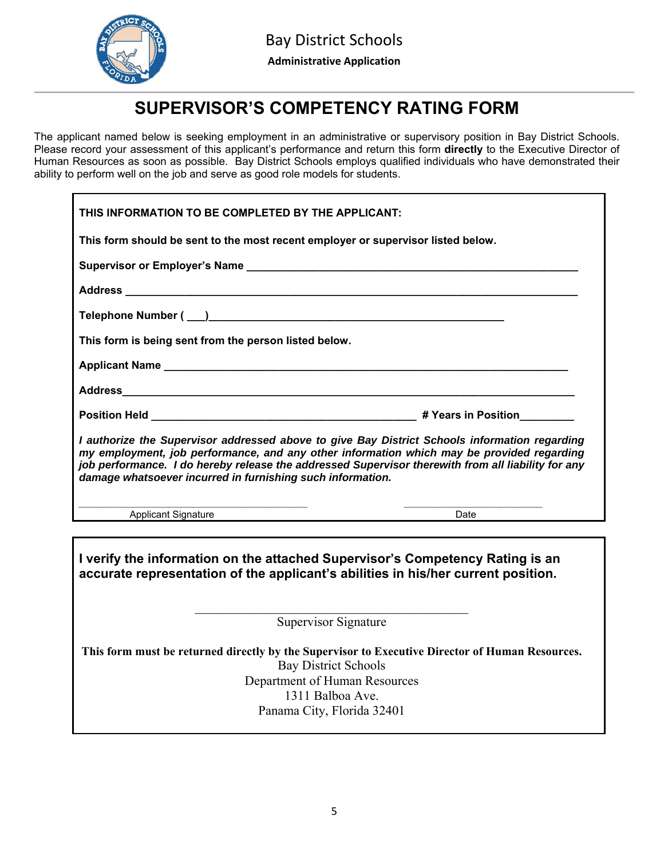

## **SUPERVISOR'S COMPETENCY RATING FORM**

The applicant named below is seeking employment in an administrative or supervisory position in Bay District Schools. Please record your assessment of this applicant's performance and return this form **directly** to the Executive Director of Human Resources as soon as possible. Bay District Schools employs qualified individuals who have demonstrated their ability to perform well on the job and serve as good role models for students.

| THIS INFORMATION TO BE COMPLETED BY THE APPLICANT:                                                                                                                                                                                                                                                                                                             |  |  |  |
|----------------------------------------------------------------------------------------------------------------------------------------------------------------------------------------------------------------------------------------------------------------------------------------------------------------------------------------------------------------|--|--|--|
| This form should be sent to the most recent employer or supervisor listed below.                                                                                                                                                                                                                                                                               |  |  |  |
|                                                                                                                                                                                                                                                                                                                                                                |  |  |  |
|                                                                                                                                                                                                                                                                                                                                                                |  |  |  |
|                                                                                                                                                                                                                                                                                                                                                                |  |  |  |
| This form is being sent from the person listed below.                                                                                                                                                                                                                                                                                                          |  |  |  |
|                                                                                                                                                                                                                                                                                                                                                                |  |  |  |
|                                                                                                                                                                                                                                                                                                                                                                |  |  |  |
|                                                                                                                                                                                                                                                                                                                                                                |  |  |  |
| I authorize the Supervisor addressed above to give Bay District Schools information regarding<br>my employment, job performance, and any other information which may be provided regarding<br>job performance. I do hereby release the addressed Supervisor therewith from all liability for any<br>damage whatsoever incurred in furnishing such information. |  |  |  |
| <b>Applicant Signature</b><br>Date                                                                                                                                                                                                                                                                                                                             |  |  |  |
|                                                                                                                                                                                                                                                                                                                                                                |  |  |  |
| I verify the information on the attached Supervisor's Competency Rating is an<br>accurate representation of the applicant's abilities in his/her current position.                                                                                                                                                                                             |  |  |  |
| Supervisor Signature                                                                                                                                                                                                                                                                                                                                           |  |  |  |
| This form must be returned directly by the Supervisor to Executive Director of Human Resources.<br><b>Bay District Schools</b>                                                                                                                                                                                                                                 |  |  |  |
| Department of Human Resources                                                                                                                                                                                                                                                                                                                                  |  |  |  |

1311 Balboa Ave.

Panama City, Florida 32401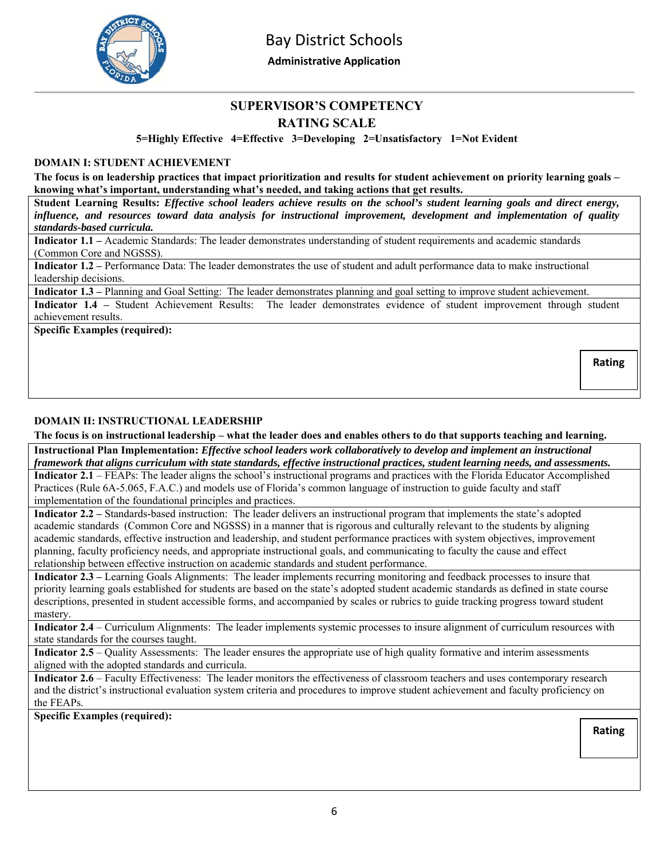

Bay District Schools

**Administrative Application** 

## **SUPERVISOR'S COMPETENCY**

## **RATING SCALE**

**5=Highly Effective 4=Effective 3=Developing 2=Unsatisfactory 1=Not Evident** 

### **DOMAIN I: STUDENT ACHIEVEMENT**

**The focus is on leadership practices that impact prioritization and results for student achievement on priority learning goals – knowing what's important, understanding what's needed, and taking actions that get results.** 

**Student Learning Results:** *Effective school leaders achieve results on the school's student learning goals and direct energy, influence, and resources toward data analysis for instructional improvement, development and implementation of quality standards-based curricula.*

**Indicator 1.1 –** Academic Standards: The leader demonstrates understanding of student requirements and academic standards (Common Core and NGSSS).

**Indicator 1.2 –** Performance Data: The leader demonstrates the use of student and adult performance data to make instructional leadership decisions.

**Indicator 1.3 –** Planning and Goal Setting: The leader demonstrates planning and goal setting to improve student achievement.

**Indicator 1.4 –** Student Achievement Results: The leader demonstrates evidence of student improvement through student achievement results.

**Specific Examples (required):** 

### **DOMAIN II: INSTRUCTIONAL LEADERSHIP**

**The focus is on instructional leadership – what the leader does and enables others to do that supports teaching and learning.** 

**Instructional Plan Implementation:** *Effective school leaders work collaboratively to develop and implement an instructional framework that aligns curriculum with state standards, effective instructional practices, student learning needs, and assessments.*

**Indicator 2.1** – FEAPs: The leader aligns the school's instructional programs and practices with the Florida Educator Accomplished Practices (Rule 6A-5.065, F.A.C.) and models use of Florida's common language of instruction to guide faculty and staff implementation of the foundational principles and practices.

**Indicator 2.2 –** Standards-based instruction: The leader delivers an instructional program that implements the state's adopted academic standards (Common Core and NGSSS) in a manner that is rigorous and culturally relevant to the students by aligning academic standards, effective instruction and leadership, and student performance practices with system objectives, improvement planning, faculty proficiency needs, and appropriate instructional goals, and communicating to faculty the cause and effect relationship between effective instruction on academic standards and student performance.

**Indicator 2.3 –** Learning Goals Alignments: The leader implements recurring monitoring and feedback processes to insure that priority learning goals established for students are based on the state's adopted student academic standards as defined in state course descriptions, presented in student accessible forms, and accompanied by scales or rubrics to guide tracking progress toward student mastery.

**Indicator 2.4** – Curriculum Alignments: The leader implements systemic processes to insure alignment of curriculum resources with state standards for the courses taught.

**Indicator 2.5** – Quality Assessments: The leader ensures the appropriate use of high quality formative and interim assessments aligned with the adopted standards and curricula.

**Indicator 2.6** – Faculty Effectiveness: The leader monitors the effectiveness of classroom teachers and uses contemporary research and the district's instructional evaluation system criteria and procedures to improve student achievement and faculty proficiency on the FEAPs.

**Specific Examples (required):** 

**Rating** 

**Rating**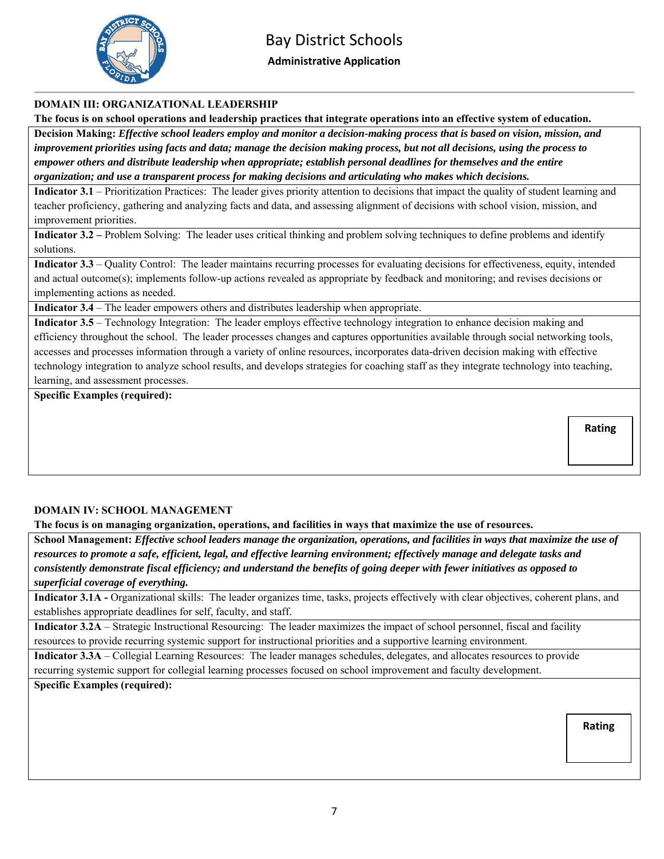

## Bay District Schools

**Administrative Application** 

### **DOMAIN III: ORGANIZATIONAL LEADERSHIP**

**The focus is on school operations and leadership practices that integrate operations into an effective system of education.** 

**Decision Making:** *Effective school leaders employ and monitor a decision-making process that is based on vision, mission, and improvement priorities using facts and data; manage the decision making process, but not all decisions, using the process to empower others and distribute leadership when appropriate; establish personal deadlines for themselves and the entire organization; and use a transparent process for making decisions and articulating who makes which decisions.*

**Indicator 3.1** – Prioritization Practices: The leader gives priority attention to decisions that impact the quality of student learning and teacher proficiency, gathering and analyzing facts and data, and assessing alignment of decisions with school vision, mission, and improvement priorities.

**Indicator 3.2** – Problem Solving: The leader uses critical thinking and problem solving techniques to define problems and identify solutions.

**Indicator 3.3** – Quality Control: The leader maintains recurring processes for evaluating decisions for effectiveness, equity, intended and actual outcome(s); implements follow-up actions revealed as appropriate by feedback and monitoring; and revises decisions or implementing actions as needed.

**Indicator 3.4** – The leader empowers others and distributes leadership when appropriate.

**Indicator 3.5** – Technology Integration: The leader employs effective technology integration to enhance decision making and efficiency throughout the school. The leader processes changes and captures opportunities available through social networking tools, accesses and processes information through a variety of online resources, incorporates data-driven decision making with effective technology integration to analyze school results, and develops strategies for coaching staff as they integrate technology into teaching, learning, and assessment processes.

**Specific Examples (required):** 

**Rating** 

#### **DOMAIN IV: SCHOOL MANAGEMENT**

**The focus is on managing organization, operations, and facilities in ways that maximize the use of resources.** 

**School Management:** *Effective school leaders manage the organization, operations, and facilities in ways that maximize the use of resources to promote a safe, efficient, legal, and effective learning environment; effectively manage and delegate tasks and consistently demonstrate fiscal efficiency; and understand the benefits of going deeper with fewer initiatives as opposed to superficial coverage of everything.* 

**Indicator 3.1A -** Organizational skills: The leader organizes time, tasks, projects effectively with clear objectives, coherent plans, and establishes appropriate deadlines for self, faculty, and staff.

**Indicator 3.2A** – Strategic Instructional Resourcing: The leader maximizes the impact of school personnel, fiscal and facility resources to provide recurring systemic support for instructional priorities and a supportive learning environment.

**Indicator 3.3A** – Collegial Learning Resources: The leader manages schedules, delegates, and allocates resources to provide recurring systemic support for collegial learning processes focused on school improvement and faculty development.

### **Specific Examples (required):**

**Rating**